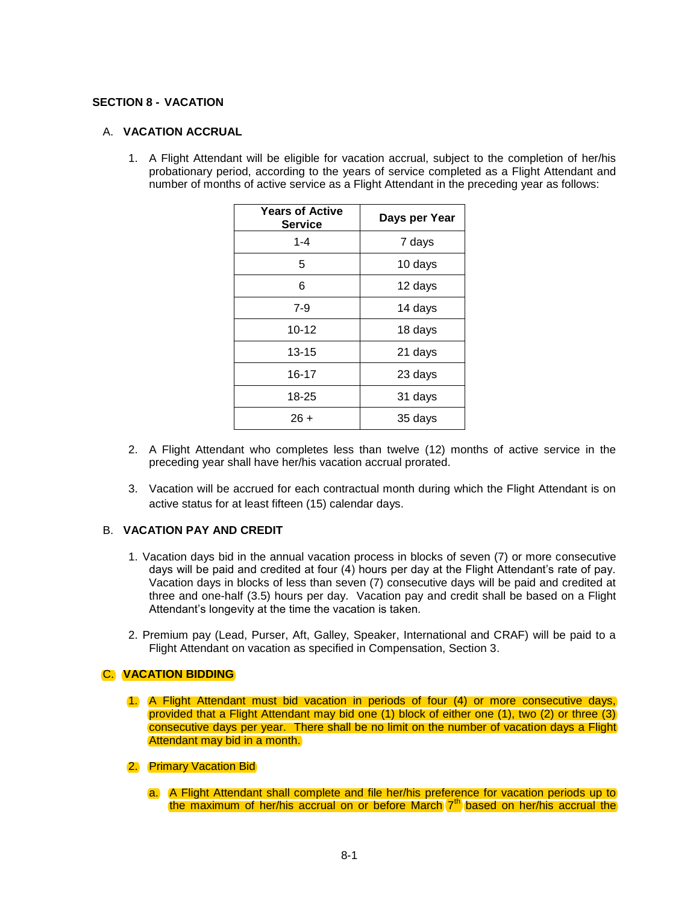## **SECTION 8 - VACATION**

# A. **VACATION ACCRUAL**

1. A Flight Attendant will be eligible for vacation accrual, subject to the completion of her/his probationary period, according to the years of service completed as a Flight Attendant and number of months of active service as a Flight Attendant in the preceding year as follows:

| <b>Years of Active</b><br><b>Service</b> | Days per Year |
|------------------------------------------|---------------|
| $1 - 4$                                  | 7 days        |
| 5                                        | 10 days       |
| 6                                        | 12 days       |
| $7-9$                                    | 14 days       |
| $10 - 12$                                | 18 days       |
| 13-15                                    | 21 days       |
| 16-17                                    | 23 days       |
| 18-25                                    | 31 days       |
| $26 +$                                   | 35 days       |

- 2. A Flight Attendant who completes less than twelve (12) months of active service in the preceding year shall have her/his vacation accrual prorated.
- 3. Vacation will be accrued for each contractual month during which the Flight Attendant is on active status for at least fifteen (15) calendar days.

# B. **VACATION PAY AND CREDIT**

- 1. Vacation days bid in the annual vacation process in blocks of seven (7) or more consecutive days will be paid and credited at four (4) hours per day at the Flight Attendant's rate of pay. Vacation days in blocks of less than seven (7) consecutive days will be paid and credited at three and one-half (3.5) hours per day. Vacation pay and credit shall be based on a Flight Attendant's longevity at the time the vacation is taken.
- 2. Premium pay (Lead, Purser, Aft, Galley, Speaker, International and CRAF) will be paid to a Flight Attendant on vacation as specified in Compensation, Section 3.

# C. **VACATION BIDDING**

- 1. A Flight Attendant must bid vacation in periods of four (4) or more consecutive days, provided that a Flight Attendant may bid one (1) block of either one (1), two (2) or three (3) consecutive days per year. There shall be no limit on the number of vacation days a Flight Attendant may bid in a month.
- 2. Primary Vacation Bid
	- a. A Flight Attendant shall complete and file her/his preference for vacation periods up to the maximum of her/his accrual on or before March 7<sup>th</sup> based on her/his accrual the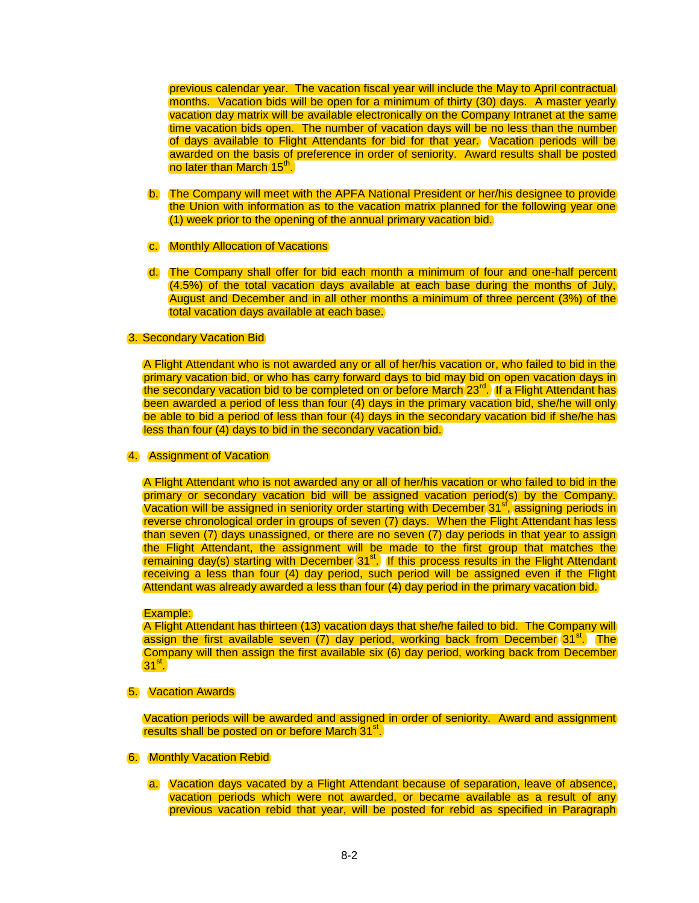previous calendar year. The vacation fiscal year will include the May to April contractual months. Vacation bids will be open for a minimum of thirty (30) days. A master yearly vacation day matrix will be available electronically on the Company Intranet at the same time vacation bids open. The number of vacation days will be no less than the number of days available to Flight Attendants for bid for that year. Vacation periods will be awarded on the basis of preference in order of seniority. Award results shall be posted no later than March 15<sup>th</sup>.

- b. The Company will meet with the APFA National President or her/his designee to provide the Union with information as to the vacation matrix planned for the following year one (1) week prior to the opening of the annual primary vacation bid.
- c. Monthly Allocation of Vacations
- d. The Company shall offer for bid each month a minimum of four and one-half percent (4.5%) of the total vacation days available at each base during the months of July, August and December and in all other months a minimum of three percent (3%) of the total vacation days available at each base.

### 3. Secondary Vacation Bid

A Flight Attendant who is not awarded any or all of her/his vacation or, who failed to bid in the primary vacation bid, or who has carry forward days to bid may bid on open vacation days in the secondary vacation bid to be completed on or before March 23<sup>rd</sup>. If a Flight Attendant has been awarded a period of less than four (4) days in the primary vacation bid, she/he will only be able to bid a period of less than four (4) days in the secondary vacation bid if she/he has less than four (4) days to bid in the secondary vacation bid.

### 4. Assignment of Vacation

A Flight Attendant who is not awarded any or all of her/his vacation or who failed to bid in the primary or secondary vacation bid will be assigned vacation period(s) by the Company. Vacation will be assigned in seniority order starting with December  $31<sup>st</sup>$ , assigning periods in reverse chronological order in groups of seven (7) days. When the Flight Attendant has less than seven (7) days unassigned, or there are no seven (7) day periods in that year to assign the Flight Attendant, the assignment will be made to the first group that matches the remaining day(s) starting with December  $31<sup>st</sup>$ . If this process results in the Flight Attendant receiving a less than four (4) day period, such period will be assigned even if the Flight Attendant was already awarded a less than four (4) day period in the primary vacation bid.

### Example:

A Flight Attendant has thirteen (13) vacation days that she/he failed to bid. The Company will assign the first available seven  $(7)$  day period, working back from December  $(31<sup>st</sup>)$ . The Company will then assign the first available six (6) day period, working back from December  $31<sup>st</sup>$ .

### 5. Vacation Awards

Vacation periods will be awarded and assigned in order of seniority. Award and assignment results shall be posted on or before March<sup>31st</sup>.

## 6. Monthly Vacation Rebid

a. Vacation days vacated by a Flight Attendant because of separation, leave of absence, vacation periods which were not awarded, or became available as a result of any previous vacation rebid that year, will be posted for rebid as specified in Paragraph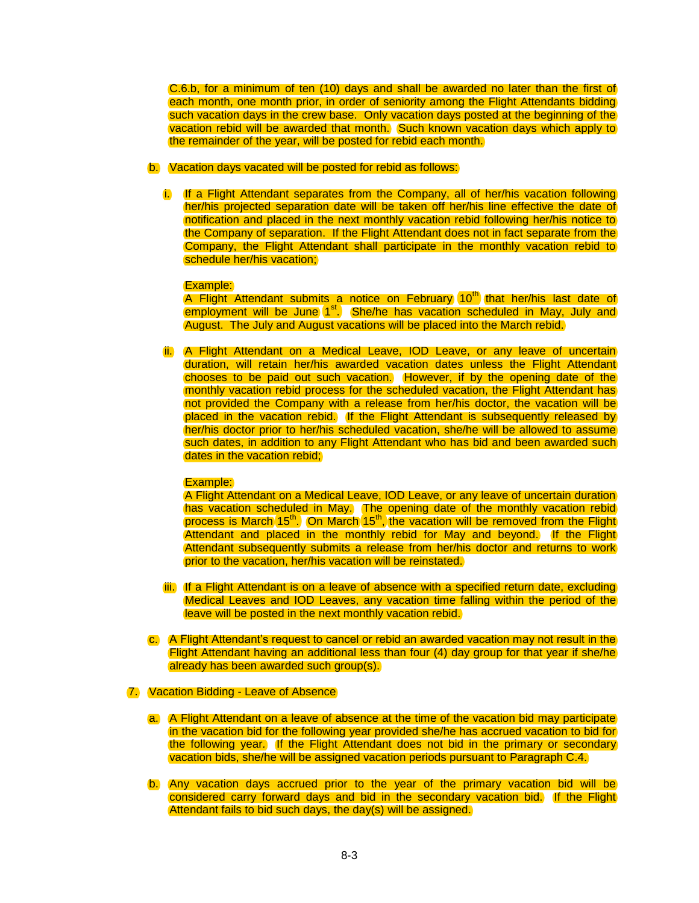C.6.b, for a minimum of ten (10) days and shall be awarded no later than the first of each month, one month prior, in order of seniority among the Flight Attendants bidding such vacation days in the crew base. Only vacation days posted at the beginning of the vacation rebid will be awarded that month. Such known vacation days which apply to the remainder of the year, will be posted for rebid each month.

## b. Vacation days vacated will be posted for rebid as follows:

i. If a Flight Attendant separates from the Company, all of her/his vacation following her/his projected separation date will be taken off her/his line effective the date of notification and placed in the next monthly vacation rebid following her/his notice to the Company of separation. If the Flight Attendant does not in fact separate from the Company, the Flight Attendant shall participate in the monthly vacation rebid to schedule her/his vacation;

#### Example:

A Flight Attendant submits a notice on February 10<sup>th</sup> that her/his last date of employment will be June (1<sup>st</sup>.) She/he has vacation scheduled in May, July and August. The July and August vacations will be placed into the March rebid.

ii. A Flight Attendant on a Medical Leave, IOD Leave, or any leave of uncertain duration, will retain her/his awarded vacation dates unless the Flight Attendant chooses to be paid out such vacation. However, if by the opening date of the monthly vacation rebid process for the scheduled vacation, the Flight Attendant has not provided the Company with a release from her/his doctor, the vacation will be placed in the vacation rebid. If the Flight Attendant is subsequently released by her/his doctor prior to her/his scheduled vacation, she/he will be allowed to assume such dates, in addition to any Flight Attendant who has bid and been awarded such dates in the vacation rebid;

#### Example:

A Flight Attendant on a Medical Leave, IOD Leave, or any leave of uncertain duration has vacation scheduled in May. The opening date of the monthly vacation rebid process is March 15<sup>th</sup>. On March 15<sup>th</sup>, the vacation will be removed from the Flight Attendant and placed in the monthly rebid for May and beyond. If the Flight Attendant subsequently submits a release from her/his doctor and returns to work prior to the vacation, her/his vacation will be reinstated.

- iii. If a Flight Attendant is on a leave of absence with a specified return date, excluding Medical Leaves and IOD Leaves, any vacation time falling within the period of the leave will be posted in the next monthly vacation rebid.
- c. A Flight Attendant's request to cancel or rebid an awarded vacation may not result in the Flight Attendant having an additional less than four (4) day group for that year if she/he already has been awarded such group(s).

#### 7. Vacation Bidding - Leave of Absence

- a. A Flight Attendant on a leave of absence at the time of the vacation bid may participate in the vacation bid for the following year provided she/he has accrued vacation to bid for the following year*.* If the Flight Attendant does not bid in the primary or secondary vacation bids, she/he will be assigned vacation periods pursuant to Paragraph C.4.
- b. Any vacation days accrued prior to the year of the primary vacation bid will be considered carry forward days and bid in the secondary vacation bid. If the Flight Attendant fails to bid such days, the day(s) will be assigned.